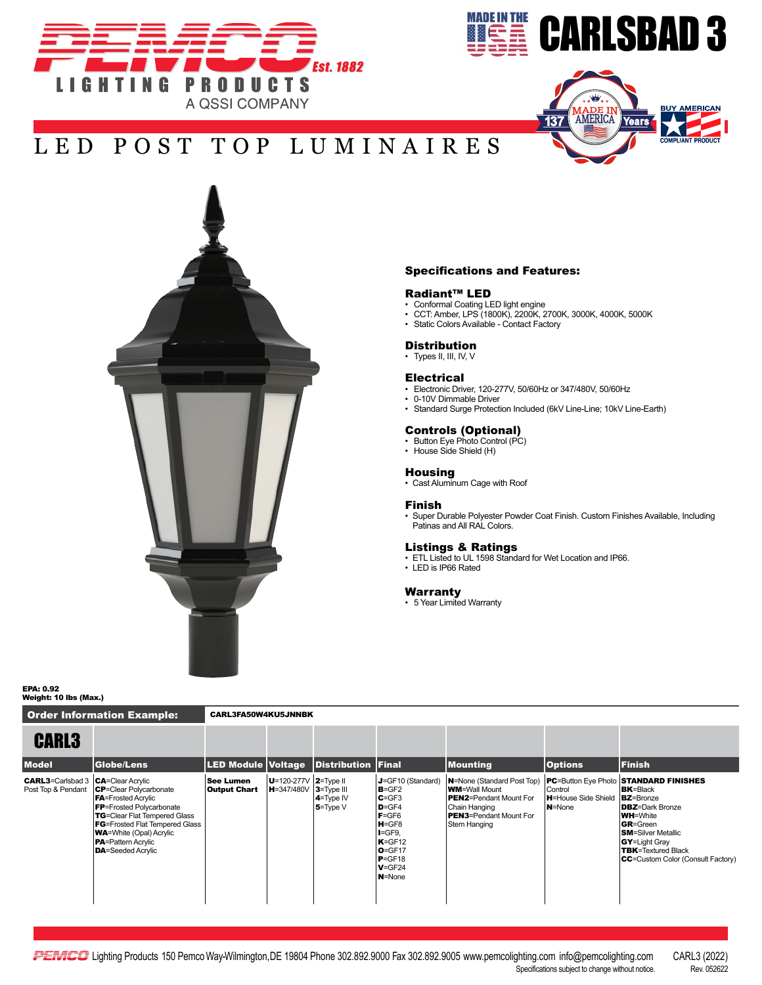







Order Information Example: CARL3FA50W4KU5JNNBK

### Specifications and Features:

## Radiant™ LED

- Conformal Coating LED light engine
- CCT: Amber, LPS (1800K), 2200K, 2700K, 3000K, 4000K, 5000K
- Static Colors Available Contact Factory

#### **Distribution**

• Types II, III, IV, V

#### Electrical

- Electronic Driver, 120-277V, 50/60Hz or 347/480V, 50/60Hz
- 0-10V Dimmable Driver
- Standard Surge Protection Included (6kV Line-Line; 10kV Line-Earth)

## Controls (Optional) • Button Eye Photo Control (PC)

- 
- House Side Shield (H)

### **Housing**

• Cast Aluminum Cage with Roof

#### Finish

• Super Durable Polyester Powder Coat Finish. Custom Finishes Available, Including Patinas and All RAL Colors.

#### Listings & Ratings

- ETL Listed to UL 1598 Standard for Wet Location and IP66.
- LED is IP66 Rated

## Warranty

• 5 Year Limited Warranty

EPA: 0.92 Weight: 10 lbs (Max.)

| <b>CARL3</b>                                                      |                                                                                                                                                                                                                                                                                 |                                         |                                                         |                                              |                                                                                                                                                                            |                                                                                                                                                         |                                                  |                                                                                                                                                                                                                                                                                           |
|-------------------------------------------------------------------|---------------------------------------------------------------------------------------------------------------------------------------------------------------------------------------------------------------------------------------------------------------------------------|-----------------------------------------|---------------------------------------------------------|----------------------------------------------|----------------------------------------------------------------------------------------------------------------------------------------------------------------------------|---------------------------------------------------------------------------------------------------------------------------------------------------------|--------------------------------------------------|-------------------------------------------------------------------------------------------------------------------------------------------------------------------------------------------------------------------------------------------------------------------------------------------|
| <b>Model</b>                                                      | <b>Globe/Lens</b>                                                                                                                                                                                                                                                               |                                         |                                                         | <b>LED Module Voltage Distribution Final</b> |                                                                                                                                                                            | <b>Mounting</b>                                                                                                                                         | <b>Options</b>                                   | <b>Finish</b>                                                                                                                                                                                                                                                                             |
| <b>CARL3</b> =Carlsbad 3   CA=Clear Acrylic<br>Post Top & Pendant | <b>CP</b> =Clear Polycarbonate<br><b>FA</b> =Frosted Acrylic<br><b>FP</b> =Frosted Polycarbonate<br><b>TG</b> =Clear Flat Tempered Glass<br><b>FG</b> =Frosted Flat Tempered Glass<br><b>WA=White (Opal) Acrylic</b><br><b>PA</b> =Pattern Acrylic<br><b>DA</b> =Seeded Acrylic | <b>See Lumen</b><br><b>Output Chart</b> | $ U=120-277V 2=TwoH$<br>$ H = 347/480V$ $ 3 = Type III$ | $4 = Type IV$<br>$5 = Type V$                | J=GF10 (Standard)<br>$B = GF2$<br>$C = GF3$<br>$D = GF4$<br>$F = GF6$<br>$H = GF8$<br>$I = GF9.$<br>$K = GF12$<br>$O = GF17$<br>$P = GF18$<br>$V = GF24$<br><b>N</b> =None | N=None (Standard Post Top)<br><b>WM=Wall Mount</b><br><b>PEN2</b> =Pendant Mount For<br>Chain Hanging<br><b>PEN3</b> =Pendant Mount For<br>Stem Hanging | Control<br><b>H</b> =House Side Shield<br>N=None | <b>PC=Button Eye Photo STANDARD FINISHES</b><br><b>BK</b> =Black<br><b>BZ</b> =Bronze<br><b>DBZ</b> =Dark Bronze<br><b>WH=White</b><br><b>GR</b> =Green<br><b>SM</b> =Silver Metallic<br><b>GY</b> =Light Gray<br><b>TBK</b> =Textured Black<br><b>CC</b> =Custom Color (Consult Factory) |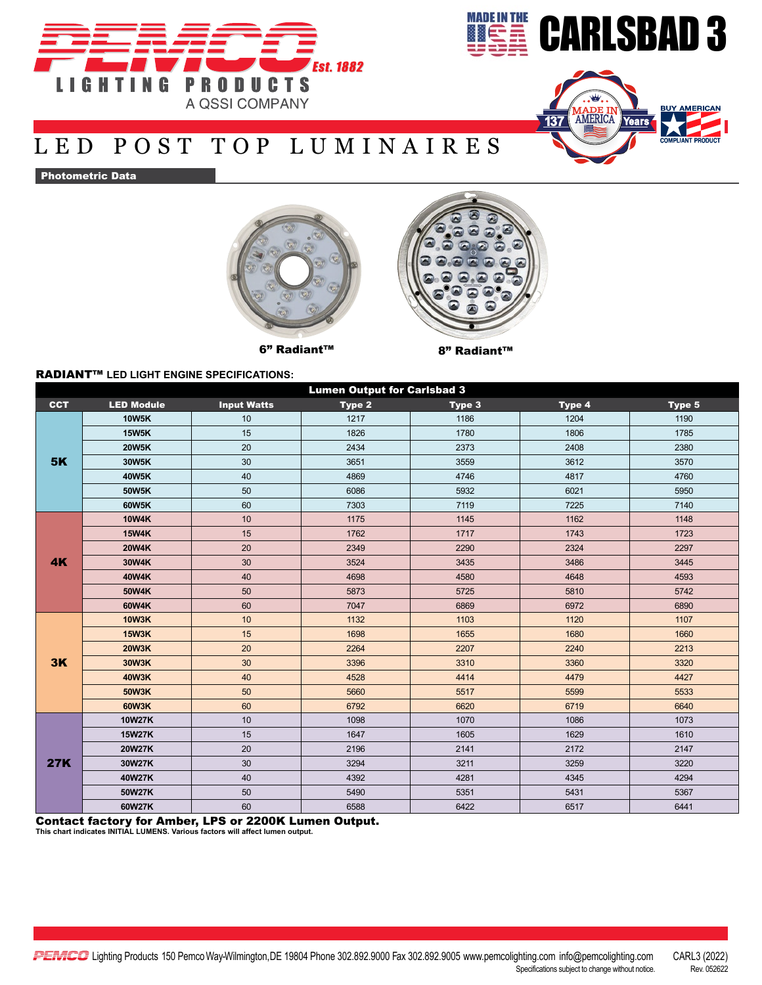





Photometric Data





## 6" Radiant™ 8" Radiant™

## RADIANT™ **LED LIGHT ENGINE SPECIFICATIONS:**

| <b>Lumen Output for Carlsbad 3</b> |                   |                    |        |        |        |        |  |  |  |  |  |
|------------------------------------|-------------------|--------------------|--------|--------|--------|--------|--|--|--|--|--|
| <b>CCT</b>                         | <b>LED Module</b> | <b>Input Watts</b> | Type 2 | Type 3 | Type 4 | Type 5 |  |  |  |  |  |
| <b>5K</b>                          | <b>10W5K</b>      | 10                 | 1217   | 1186   | 1204   | 1190   |  |  |  |  |  |
|                                    | <b>15W5K</b>      | 15                 | 1826   | 1780   | 1806   | 1785   |  |  |  |  |  |
|                                    | <b>20W5K</b>      | 20                 | 2434   | 2373   | 2408   | 2380   |  |  |  |  |  |
|                                    | 30W5K             | 30                 | 3651   | 3559   | 3612   | 3570   |  |  |  |  |  |
|                                    | 40W5K             | 40                 | 4869   | 4746   | 4817   | 4760   |  |  |  |  |  |
|                                    | 50W5K             | 50                 | 6086   | 5932   | 6021   | 5950   |  |  |  |  |  |
|                                    | 60W5K             | 60                 | 7303   | 7119   | 7225   | 7140   |  |  |  |  |  |
| 4K                                 | <b>10W4K</b>      | 10                 | 1175   | 1145   | 1162   | 1148   |  |  |  |  |  |
|                                    | <b>15W4K</b>      | 15                 | 1762   | 1717   | 1743   | 1723   |  |  |  |  |  |
|                                    | <b>20W4K</b>      | 20                 | 2349   | 2290   | 2324   | 2297   |  |  |  |  |  |
|                                    | 30W4K             | 30                 | 3524   | 3435   | 3486   | 3445   |  |  |  |  |  |
|                                    | 40W4K             | 40                 | 4698   | 4580   | 4648   | 4593   |  |  |  |  |  |
|                                    | 50W4K             | 50                 | 5873   | 5725   | 5810   | 5742   |  |  |  |  |  |
|                                    | 60W4K             | 60                 | 7047   | 6869   | 6972   | 6890   |  |  |  |  |  |
| 3K                                 | <b>10W3K</b>      | 10                 | 1132   | 1103   | 1120   | 1107   |  |  |  |  |  |
|                                    | <b>15W3K</b>      | 15                 | 1698   | 1655   | 1680   | 1660   |  |  |  |  |  |
|                                    | <b>20W3K</b>      | 20                 | 2264   | 2207   | 2240   | 2213   |  |  |  |  |  |
|                                    | 30W3K             | 30                 | 3396   | 3310   | 3360   | 3320   |  |  |  |  |  |
|                                    | <b>40W3K</b>      | 40                 | 4528   | 4414   | 4479   | 4427   |  |  |  |  |  |
|                                    | 50W3K             | 50                 | 5660   | 5517   | 5599   | 5533   |  |  |  |  |  |
|                                    | <b>60W3K</b>      | 60                 | 6792   | 6620   | 6719   | 6640   |  |  |  |  |  |
| <b>27K</b>                         | <b>10W27K</b>     | 10                 | 1098   | 1070   | 1086   | 1073   |  |  |  |  |  |
|                                    | <b>15W27K</b>     | 15                 | 1647   | 1605   | 1629   | 1610   |  |  |  |  |  |
|                                    | 20W27K            | 20                 | 2196   | 2141   | 2172   | 2147   |  |  |  |  |  |
|                                    | 30W27K            | 30                 | 3294   | 3211   | 3259   | 3220   |  |  |  |  |  |
|                                    | 40W27K            | 40                 | 4392   | 4281   | 4345   | 4294   |  |  |  |  |  |
|                                    | 50W27K            | 50                 | 5490   | 5351   | 5431   | 5367   |  |  |  |  |  |
|                                    | 60W27K            | 60                 | 6588   | 6422   | 6517   | 6441   |  |  |  |  |  |

Contact factory for Amber, LPS or 2200K Lumen Output. **This chart indicates INITIAL LUMENS. Various factors will affect lumen output.**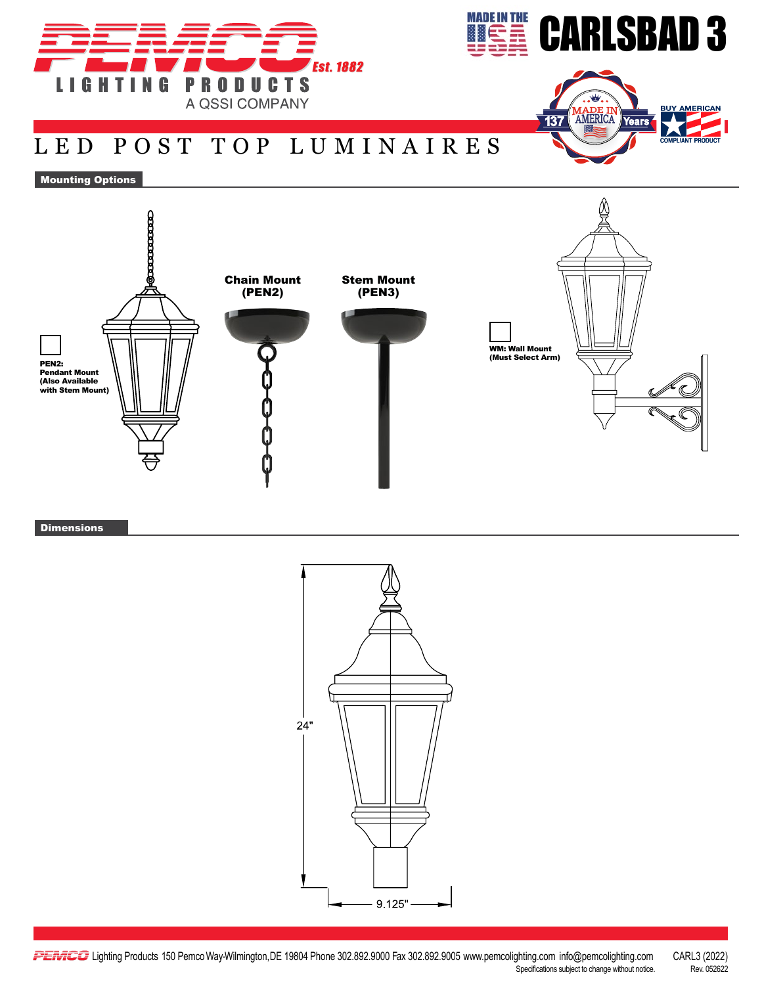





Mounting Options



**Dimensions**